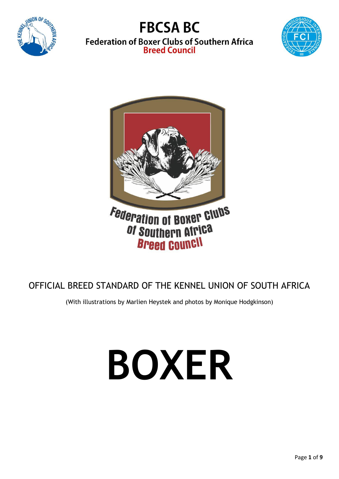





## OFFICIAL BREED STANDARD OF THE KENNEL UNION OF SOUTH AFRICA

(With illustrations by Marlien Heystek and photos by Monique Hodgkinson)

# **BOXER**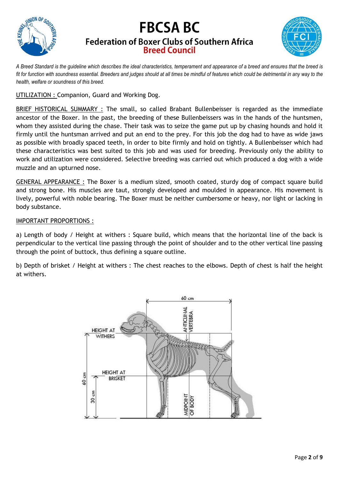



*A Breed Standard is the guideline which describes the ideal characteristics, temperament and appearance of a breed and ensures that the breed is fit for function with soundness essential. Breeders and judges should at all times be mindful of features which could be detrimental in any way to the health, welfare or soundness of this breed.*

UTILIZATION : Companion, Guard and Working Dog.

BRIEF HISTORICAL SUMMARY : The small, so called Brabant Bullenbeisser is regarded as the immediate ancestor of the Boxer. In the past, the breeding of these Bullenbeissers was in the hands of the huntsmen, whom they assisted during the chase. Their task was to seize the game put up by chasing hounds and hold it firmly until the huntsman arrived and put an end to the prey. For this job the dog had to have as wide jaws as possible with broadly spaced teeth, in order to bite firmly and hold on tightly. A Bullenbeisser which had these characteristics was best suited to this job and was used for breeding. Previously only the ability to work and utilization were considered. Selective breeding was carried out which produced a dog with a wide muzzle and an upturned nose.

GENERAL APPEARANCE : The Boxer is a medium sized, smooth coated, sturdy dog of compact square build and strong bone. His muscles are taut, strongly developed and moulded in appearance. His movement is lively, powerful with noble bearing. The Boxer must be neither cumbersome or heavy, nor light or lacking in body substance.

## IMPORTANT PROPORTIONS :

a) Length of body / Height at withers : Square build, which means that the horizontal line of the back is perpendicular to the vertical line passing through the point of shoulder and to the other vertical line passing through the point of buttock, thus defining a square outline.

b) Depth of brisket / Height at withers : The chest reaches to the elbows. Depth of chest is half the height at withers.

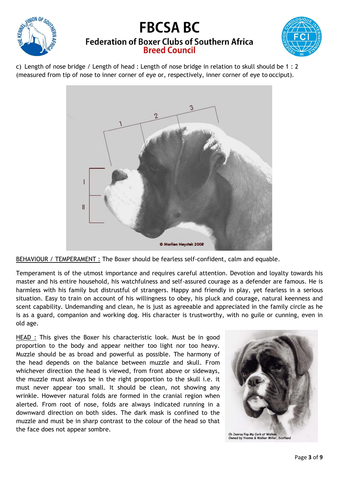



c) Length of nose bridge / Length of head : Length of nose bridge in relation to skull should be 1 : 2 (measured from tip of nose to inner corner of eye or, respectively, inner corner of eye to occiput).



BEHAVIOUR / TEMPERAMENT : The Boxer should be fearless self-confident, calm and equable.

Temperament is of the utmost importance and requires careful attention. Devotion and loyalty towards his master and his entire household, his watchfulness and self-assured courage as a defender are famous. He is harmless with his family but distrustful of strangers. Happy and friendly in play, yet fearless in a serious situation. Easy to train on account of his willingness to obey, his pluck and courage, natural keenness and scent capability. Undemanding and clean, he is just as agreeable and appreciated in the family circle as he is as a guard, companion and working dog. His character is trustworthy, with no guile or cunning, even in old age.

HEAD : This gives the Boxer his characteristic look. Must be in good proportion to the body and appear neither too light nor too heavy. Muzzle should be as broad and powerful as possible. The harmony of the head depends on the balance between muzzle and skull. From whichever direction the head is viewed, from front above or sideways, the muzzle must always be in the right proportion to the skull i.e. it must never appear too small. It should be clean, not showing any wrinkle. However natural folds are formed in the cranial region when alerted. From root of nose, folds are always indicated running in a downward direction on both sides. The dark mask is confined to the muzzle and must be in sharp contrast to the colour of the head so that the face does not appear sombre.

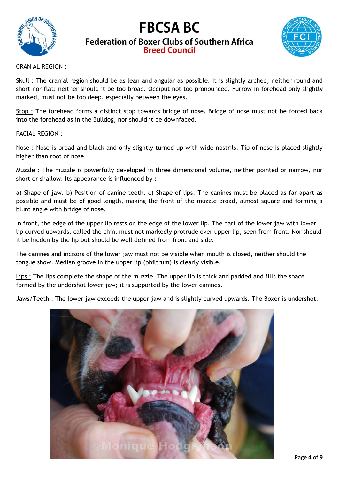



## CRANIAL REGION :

Skull : The cranial region should be as lean and angular as possible. It is slightly arched, neither round and short nor flat; neither should it be too broad. Occiput not too pronounced. Furrow in forehead only slightly marked, must not be too deep, especially between the eyes.

Stop : The forehead forms a distinct stop towards bridge of nose. Bridge of nose must not be forced back into the forehead as in the Bulldog, nor should it be downfaced.

#### FACIAL REGION :

Nose : Nose is broad and black and only slightly turned up with wide nostrils. Tip of nose is placed slightly higher than root of nose.

Muzzle : The muzzle is powerfully developed in three dimensional volume, neither pointed or narrow, nor short or shallow. Its appearance is influenced by :

a) Shape of jaw. b) Position of canine teeth. c) Shape of lips. The canines must be placed as far apart as possible and must be of good length, making the front of the muzzle broad, almost square and forming a blunt angle with bridge of nose.

In front, the edge of the upper lip rests on the edge of the lower lip. The part of the lower jaw with lower lip curved upwards, called the chin, must not markedly protrude over upper lip, seen from front. Nor should it be hidden by the lip but should be well defined from front and side.

The canines and incisors of the lower jaw must not be visible when mouth is closed, neither should the tongue show. Median groove in the upper lip (philtrum) is clearly visible.

Lips : The lips complete the shape of the muzzle. The upper lip is thick and padded and fills the space formed by the undershot lower jaw; it is supported by the lower canines.

Jaws/Teeth : The lower jaw exceeds the upper jaw and is slightly curved upwards. The Boxer is undershot.

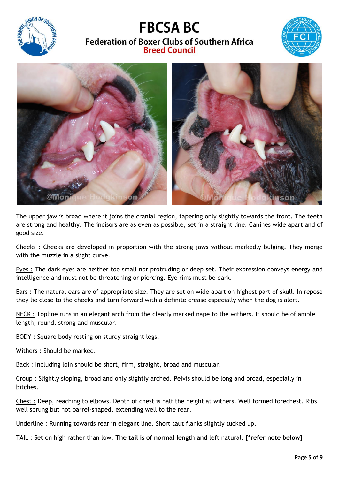





The upper jaw is broad where it joins the cranial region, tapering only slightly towards the front. The teeth are strong and healthy. The incisors are as even as possible, set in a straight line. Canines wide apart and of good size.

Cheeks : Cheeks are developed in proportion with the strong jaws without markedly bulging. They merge with the muzzle in a slight curve.

Eyes : The dark eyes are neither too small nor protruding or deep set. Their expression conveys energy and intelligence and must not be threatening or piercing. Eye rims must be dark.

Ears : The natural ears are of appropriate size. They are set on wide apart on highest part of skull. In repose they lie close to the cheeks and turn forward with a definite crease especially when the dog is alert.

NECK : Topline runs in an elegant arch from the clearly marked nape to the withers. It should be of ample length, round, strong and muscular.

BODY : Square body resting on sturdy straight legs.

Withers : Should be marked.

Back : Including loin should be short, firm, straight, broad and muscular.

Croup : Slightly sloping, broad and only slightly arched. Pelvis should be long and broad, especially in bitches.

Chest : Deep, reaching to elbows. Depth of chest is half the height at withers. Well formed forechest. Ribs well sprung but not barrel-shaped, extending well to the rear.

Underline : Running towards rear in elegant line. Short taut flanks slightly tucked up.

TAIL : Set on high rather than low. **The tail is of normal length and** left natural. [**\*refer note below**]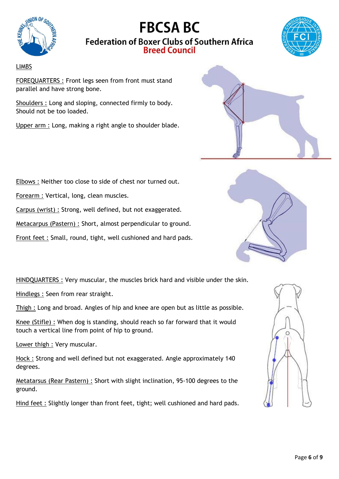



## LIMBS

FOREQUARTERS : Front legs seen from front must stand parallel and have strong bone.

Shoulders : Long and sloping, connected firmly to body. Should not be too loaded.

Upper arm : Long, making a right angle to shoulder blade.



Elbows : Neither too close to side of chest nor turned out.

Forearm : Vertical, long, clean muscles.

Carpus (wrist) : Strong, well defined, but not exaggerated.

Metacarpus (Pastern) : Short, almost perpendicular to ground.

Front feet : Small, round, tight, well cushioned and hard pads.



HINDQUARTERS : Very muscular, the muscles brick hard and visible under the skin.

Hindlegs : Seen from rear straight.

Thigh : Long and broad. Angles of hip and knee are open but as little as possible.

Knee (Stifle) : When dog is standing, should reach so far forward that it would touch a vertical line from point of hip to ground.

Lower thigh : Very muscular.

Hock : Strong and well defined but not exaggerated. Angle approximately 140 degrees.

Metatarsus (Rear Pastern) : Short with slight inclination, 95-100 degrees to the ground.

Hind feet : Slightly longer than front feet, tight; well cushioned and hard pads.

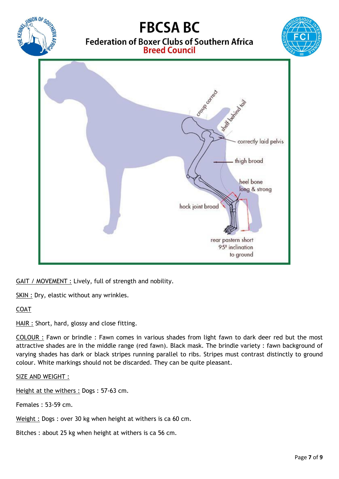

GAIT / MOVEMENT : Lively, full of strength and nobility.

SKIN : Dry, elastic without any wrinkles.

## COAT

HAIR : Short, hard, glossy and close fitting.

COLOUR : Fawn or brindle : Fawn comes in various shades from light fawn to dark deer red but the most attractive shades are in the middle range (red fawn). Black mask. The brindle variety : fawn background of varying shades has dark or black stripes running parallel to ribs. Stripes must contrast distinctly to ground colour. White markings should not be discarded. They can be quite pleasant.

SIZE AND WEIGHT :

Height at the withers : Dogs : 57-63 cm.

Females : 53-59 cm.

Weight : Dogs : over 30 kg when height at withers is ca 60 cm.

Bitches : about 25 kg when height at withers is ca 56 cm.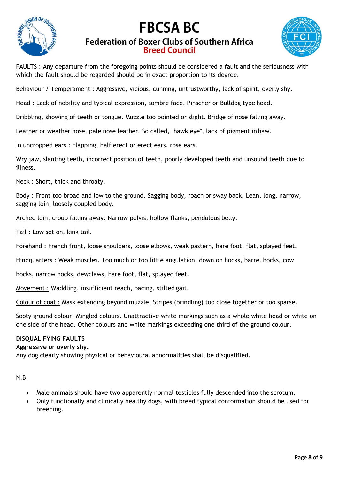



FAULTS : Any departure from the foregoing points should be considered a fault and the seriousness with which the fault should be regarded should be in exact proportion to its degree.

Behaviour / Temperament : Aggressive, vicious, cunning, untrustworthy, lack of spirit, overly shy.

Head : Lack of nobility and typical expression, sombre face, Pinscher or Bulldog type head.

Dribbling, showing of teeth or tongue. Muzzle too pointed or slight. Bridge of nose falling away.

Leather or weather nose, pale nose leather. So called, "hawk eye", lack of pigment in haw.

In uncropped ears : Flapping, half erect or erect ears, rose ears.

Wry jaw, slanting teeth, incorrect position of teeth, poorly developed teeth and unsound teeth due to illness.

Neck : Short, thick and throaty.

Body : Front too broad and low to the ground. Sagging body, roach or sway back. Lean, long, narrow, sagging loin, loosely coupled body.

Arched loin, croup falling away. Narrow pelvis, hollow flanks, pendulous belly.

Tail : Low set on, kink tail.

Forehand : French front, loose shoulders, loose elbows, weak pastern, hare foot, flat, splayed feet.

Hindquarters : Weak muscles. Too much or too little angulation, down on hocks, barrel hocks, cow

hocks, narrow hocks, dewclaws, hare foot, flat, splayed feet.

Movement : Waddling, insufficient reach, pacing, stilted gait.

Colour of coat : Mask extending beyond muzzle. Stripes (brindling) too close together or too sparse.

Sooty ground colour. Mingled colours. Unattractive white markings such as a whole white head or white on one side of the head. Other colours and white markings exceeding one third of the ground colour.

#### **DISQUALIFYING FAULTS**

#### **Aggressive or overly shy.**

Any dog clearly showing physical or behavioural abnormalities shall be disqualified.

N.B.

- Male animals should have two apparently normal testicles fully descended into the scrotum.
- Only functionally and clinically healthy dogs, with breed typical conformation should be used for breeding.